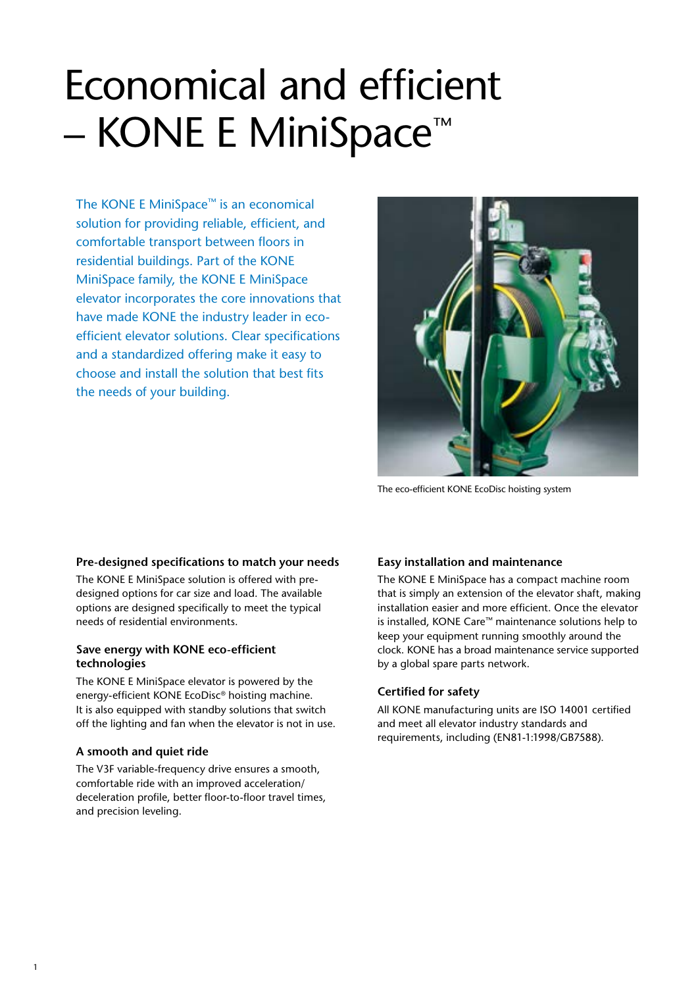### Economical and efficient – KONE E MiniSpace™

The KONE E MiniSpace™ is an economical solution for providing reliable, efficient, and comfortable transport between floors in residential buildings. Part of the KONE MiniSpace family, the KONE E MiniSpace elevator incorporates the core innovations that have made KONE the industry leader in ecoefficient elevator solutions. Clear specifications and a standardized offering make it easy to choose and install the solution that best fits the needs of your building.



The eco-efficient KONE EcoDisc hoisting system

### **Pre-designed specifications to match your needs**

The KONE E MiniSpace solution is offered with predesigned options for car size and load. The available options are designed specifically to meet the typical needs of residential environments.

### **Save energy with KONE eco-efficient technologies**

The KONE E MiniSpace elevator is powered by the energy-efficient KONE EcoDisc® hoisting machine. It is also equipped with standby solutions that switch off the lighting and fan when the elevator is not in use.

### **A smooth and quiet ride**

The V3F variable-frequency drive ensures a smooth, comfortable ride with an improved acceleration/ deceleration profile, better floor-to-floor travel times, and precision leveling.

### **Easy installation and maintenance**

The KONE E MiniSpace has a compact machine room that is simply an extension of the elevator shaft, making installation easier and more efficient. Once the elevator is installed, KONE Care™ maintenance solutions help to keep your equipment running smoothly around the clock. KONE has a broad maintenance service supported by a global spare parts network.

### **Certified for safety**

All KONE manufacturing units are ISO 14001 certified and meet all elevator industry standards and requirements, including (EN81-1:1998/GB7588).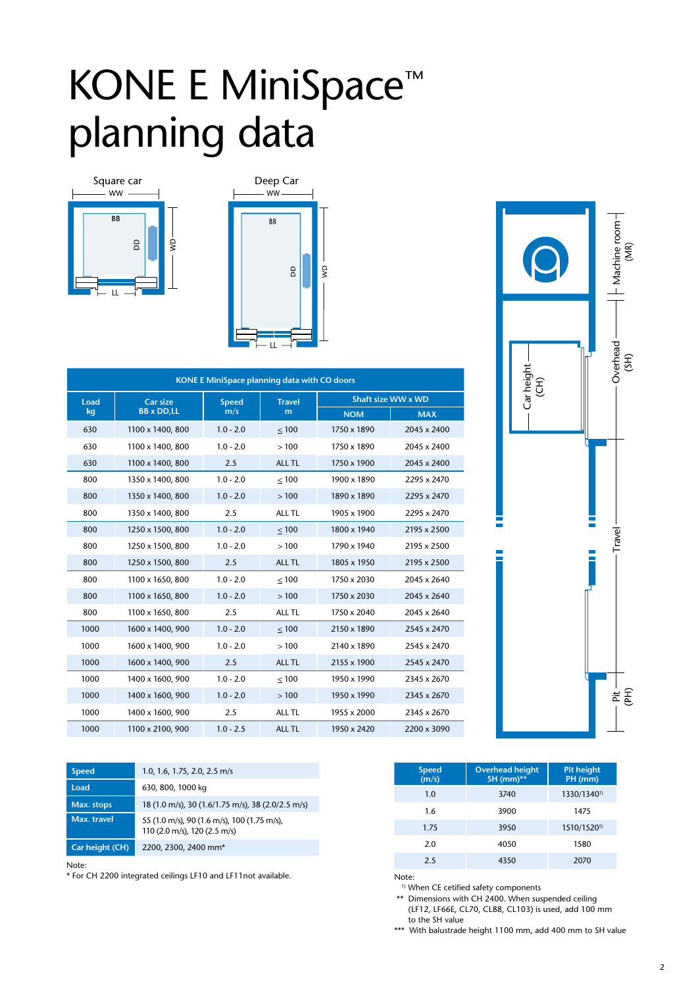### KONE E MiniSpace<sup>™</sup> planning data . *Stat*  $\sim$   $\sim$   $\sim$   $\sim$   $\sim$   $\sim$ LL





| KONE E MiniSpace planning data with CO doors |                   |              |               |             |                    |  |
|----------------------------------------------|-------------------|--------------|---------------|-------------|--------------------|--|
| Load                                         | <b>Car size</b>   | <b>Speed</b> | <b>Travel</b> |             | Shaft size WW x WD |  |
| kg                                           | <b>BB</b> x DD,LL | m/s          | m             | <b>NOM</b>  | <b>MAX</b>         |  |
| 630                                          | 1100 x 1400, 800  | $1.0 - 2.0$  | $\leq 100$    | 1750 x 1890 | 2045 x 2400        |  |
| 630                                          | 1100 x 1400, 800  | $1.0 - 2.0$  | >100          | 1750 x 1890 | 2045 x 2400        |  |
| 630                                          | 1100 x 1400, 800  | 2.5          | <b>ALL TL</b> | 1750 x 1900 | 2045 x 2400        |  |
| 800                                          | 1350 x 1400, 800  | $1.0 - 2.0$  | $<100$        | 1900 x 1890 | 2295 x 2470        |  |
| 800                                          | 1350 x 1400, 800  | $1.0 - 2.0$  | >100          | 1890 x 1890 | 2295 x 2470        |  |
| 800                                          | 1350 x 1400, 800  | 2.5          | ALL TL        | 1905 x 1900 | 2295 x 2470        |  |
| 800                                          | 1250 x 1500, 800  | $1.0 - 2.0$  | < 100         | 1800 x 1940 | 2195 x 2500        |  |
| 800                                          | 1250 x 1500, 800  | $1.0 - 2.0$  | >100          | 1790 x 1940 | 2195 x 2500        |  |
| 800                                          | 1250 x 1500, 800  | 2.5          | <b>ALL TL</b> | 1805 x 1950 | 2195 x 2500        |  |
| 800                                          | 1100 x 1650, 800  | $1.0 - 2.0$  | $<100$        | 1750 x 2030 | 2045 x 2640        |  |
| 800                                          | 1100 x 1650, 800  | $1.0 - 2.0$  | >100          | 1750 x 2030 | 2045 x 2640        |  |
| 800                                          | 1100 x 1650, 800  | 2.5          | ALL TL        | 1750 x 2040 | 2045 x 2640        |  |
| 1000                                         | 1600 x 1400, 900  | $1.0 - 2.0$  | < 100         | 2150 x 1890 | 2545 x 2470        |  |
| 1000                                         | 1600 x 1400, 900  | $1.0 - 2.0$  | >100          | 2140 x 1890 | 2545 x 2470        |  |
| 1000                                         | 1600 x 1400, 900  | 2.5          | <b>ALL TL</b> | 2155 x 1900 | 2545 x 2470        |  |
| 1000                                         | 1400 x 1600, 900  | $1.0 - 2.0$  | < 100         | 1950 x 1990 | 2345 x 2670        |  |
| 1000                                         | 1400 x 1600, 900  | $1.0 - 2.0$  | >100          | 1950 x 1990 | 2345 x 2670        |  |
| 1000                                         | 1400 x 1600, 900  | 2.5          | ALL TL        | 1955 x 2000 | 2345 x 2670        |  |
| 1000                                         | 1100 x 2100, 900  | $1.0 - 2.5$  | <b>ALL TL</b> | 1950 x 2420 | 2200 x 3090        |  |



| <b>Speed</b>    | 1.0, 1.6, 1.75, 2.0, 2.5 m/s                                                |
|-----------------|-----------------------------------------------------------------------------|
| Load            | 630, 800, 1000 kg                                                           |
| Max. stops      | 18 (1.0 m/s), 30 (1.6/1.75 m/s), 38 (2.0/2.5 m/s)                           |
| Max. travel     | 55 (1.0 m/s), 90 (1.6 m/s), 100 (1.75 m/s),<br>110 (2.0 m/s), 120 (2.5 m/s) |
| Car height (CH) | 2200, 2300, 2400 mm*                                                        |

Note:

\* For CH 2200 integrated ceilings LF10 and LF11not available. Note:

| <b>Speed</b><br>(m/s) | <b>Overhead height</b><br>SH (mm)** | <b>Pit height</b><br>PH (mm) |
|-----------------------|-------------------------------------|------------------------------|
| 1.0                   | 3740                                | 1330/1340 <sup>1)</sup>      |
| 1.6                   | 3900                                | 1475                         |
| 1.75                  | 3950                                | 1510/1520 <sup>1)</sup>      |
| 2.0                   | 4050                                | 1580                         |
| 2.5                   | 4350                                | 2070                         |

<sup>1)</sup> When CE cetified safety components

\*\* Dimensions with CH 2400. When suspended ceiling (LF12, LF66E, CL70, CL88, CL103) is used, add 100 mm to the SH value

\*\*\* With balustrade height 1100 mm, add 400 mm to SH value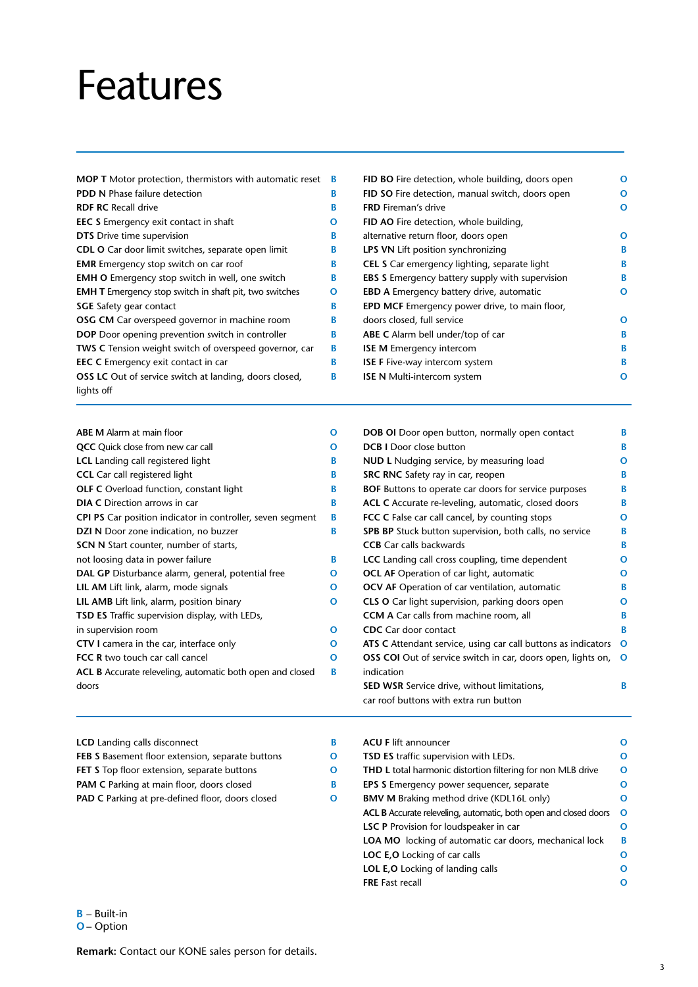### Features

| <b>MOP T</b> Motor protection, thermistors with automatic reset | В |
|-----------------------------------------------------------------|---|
| <b>PDD N Phase failure detection</b>                            | в |
| <b>RDF RC</b> Recall drive                                      | В |
| <b>EEC S</b> Emergency exit contact in shaft                    | O |
| <b>DTS</b> Drive time supervision                               | В |
| CDL O Car door limit switches, separate open limit              | в |
| <b>EMR</b> Emergency stop switch on car roof                    | в |
| <b>EMH O</b> Emergency stop switch in well, one switch          | в |
| <b>EMH T</b> Emergency stop switch in shaft pit, two switches   | O |
| <b>SGE</b> Safety gear contact                                  | В |
| <b>OSG CM</b> Car overspeed governor in machine room            | в |
| <b>DOP</b> Door opening prevention switch in controller         | В |
| <b>TWS C</b> Tension weight switch of overspeed governor, car   | В |
| <b>EEC C</b> Emergency exit contact in car                      | В |
| <b>OSS LC</b> Out of service switch at landing, doors closed,   | в |
| lights off                                                      |   |

| <b>ABE M</b> Alarm at main floor                                  | റ |
|-------------------------------------------------------------------|---|
| <b>QCC</b> Quick close from new car call                          | Ω |
| <b>LCL</b> Landing call registered light                          | в |
| <b>CCL</b> Car call registered light                              | в |
| <b>OLF C</b> Overload function, constant light                    | в |
| <b>DIA C</b> Direction arrows in car                              | в |
| <b>CPI PS</b> Car position indicator in controller, seven segment | в |
| <b>DZI N</b> Door zone indication, no buzzer                      | в |
| <b>SCN N</b> Start counter, number of starts,                     |   |
| not loosing data in power failure                                 | В |
| DAL GP Disturbance alarm, general, potential free                 | Ω |
| <b>LIL AM</b> Lift link, alarm, mode signals                      | O |
| <b>LIL AMB</b> Lift link, alarm, position binary                  | Ω |
| <b>TSD ES</b> Traffic supervision display, with LEDs,             |   |
| in supervision room                                               | Ω |
| <b>CTV I</b> camera in the car, interface only                    | Ω |
| <b>FCC R</b> two touch car call cancel                            | Ω |
| ACL B Accurate releveling, automatic both open and closed         | в |
| doors                                                             |   |

| FID BO Fire detection, whole building, doors open      | O |
|--------------------------------------------------------|---|
| FID SO Fire detection, manual switch, doors open       | О |
| <b>FRD</b> Fireman's drive                             | O |
| FID AO Fire detection, whole building,                 |   |
| alternative return floor, doors open                   | Ω |
| <b>LPS VN</b> Lift position synchronizing              | в |
| CEL S Car emergency lighting, separate light           | в |
| <b>EBS S</b> Emergency battery supply with supervision | в |
| EBD A Emergency battery drive, automatic               | O |
| <b>EPD MCF</b> Emergency power drive, to main floor,   |   |
| doors closed, full service                             | Ω |
| ABE C Alarm bell under/top of car                      | в |
| <b>ISE M</b> Emergency intercom                        | в |
| <b>ISE F Five-way intercom system</b>                  | в |
| <b>ISE N</b> Multi-intercom system                     | O |
|                                                        |   |

| DOB OI Door open button, normally open contact                 | B |
|----------------------------------------------------------------|---|
| <b>DCB I</b> Door close button                                 | B |
| NUD L Nudging service, by measuring load                       | o |
| SRC RNC Safety ray in car, reopen                              | B |
| <b>BOF</b> Buttons to operate car doors for service purposes   | B |
| ACL C Accurate re-leveling, automatic, closed doors            | B |
| <b>FCC C</b> False car call cancel, by counting stops          | O |
| <b>SPB BP</b> Stuck button supervision, both calls, no service | B |
| <b>CCB</b> Car calls backwards                                 | B |
| LCC Landing call cross coupling, time dependent                | o |
| <b>OCL AF</b> Operation of car light, automatic                | 0 |
| <b>OCV AF</b> Operation of car ventilation, automatic          | B |
| <b>CLS O</b> Car light supervision, parking doors open         | 0 |
| <b>CCM A</b> Car calls from machine room, all                  | В |
| <b>CDC</b> Car door contact                                    | B |
| ATS C Attendant service, using car call buttons as indicators  | O |
| OSS COI Out of service switch in car, doors open, lights on,   | O |
| indication                                                     |   |
| <b>SED WSR</b> Service drive, without limitations,             | B |
| car roof buttons with extra run button                         |   |

**LSC P** Provision for loudspeaker in car

**LOC E,O** Locking of car calls **LOL E,O** Locking of landing calls

**FRE** Fast recall

**LOA MO** locking of automatic car doors, mechanical lock

| <b>LCD</b> Landing calls disconnect                     | <b>ACU F lift announcer</b>                                        | $\Omega$ |
|---------------------------------------------------------|--------------------------------------------------------------------|----------|
| FEB S Basement floor extension, separate buttons        | TSD ES traffic supervision with LEDs.                              | $\Omega$ |
| FET S Top floor extension, separate buttons             | <b>THD L</b> total harmonic distortion filtering for non MLB drive | $\Omega$ |
| <b>PAM C</b> Parking at main floor, doors closed        | <b>EPS S</b> Emergency power sequencer, separate                   | $\Omega$ |
| <b>PAD C</b> Parking at pre-defined floor, doors closed | <b>BMV M</b> Braking method drive (KDL16L only)                    | $\Omega$ |
|                                                         | ACL B Accurate releveling, automatic, both open and closed doors O |          |

**O B O O O**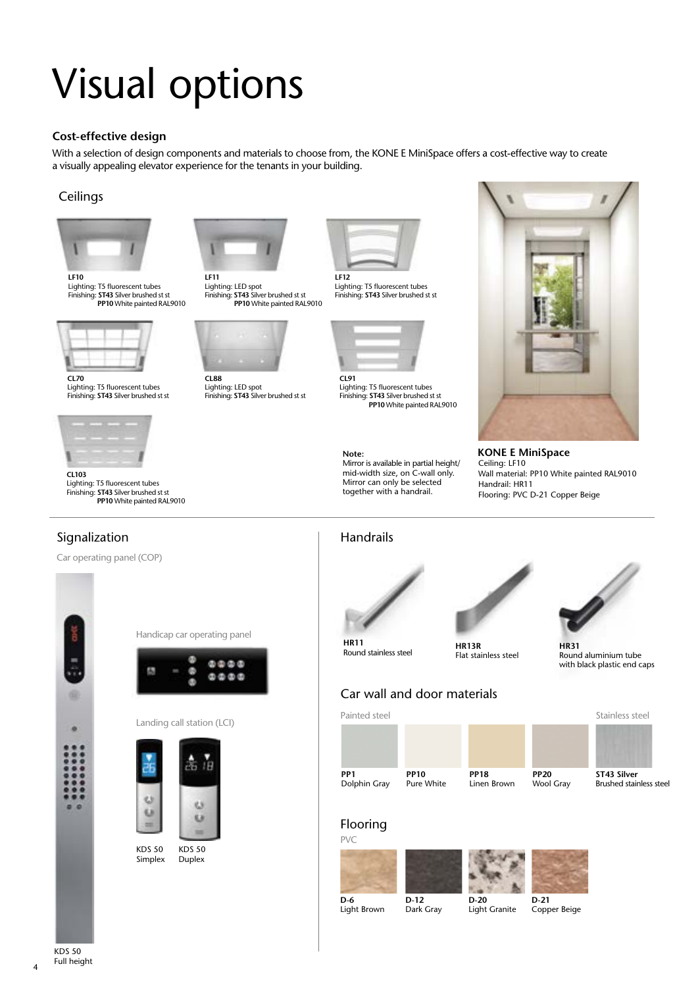## Visual options

### **Cost-effective design**

With a selection of design components and materials to choose from, the KONE E MiniSpace offers a cost-effective way to create a visually appealing elevator experience for the tenants in your building.

### **Ceilings**



Lighting: T5 fluorescent tubes Finishing: **ST43** Silver brushed st st **PP10** White painted RAL9010



**CL70** Lighting: T5 fluorescent tubes Finishing: **ST43** Silver brushed st st



**CL103** Lighting: T5 fluorescent tubes Finishing: **ST43** Silver brushed st st **PP10** White painted RAL9010



**LF11** Lighting: LED spot Finishing: **ST43** Silver brushed st st **PP10** White painted RAL9010



**CL88** Lighting: LED spot Finishing: **ST43** Silver brushed st st



Lighting: T5 fluorescent tubes Finishing: **ST43** Silver brushed st st



Handrails

**HR11**

Round stainless steel

Lighting: T5 fluorescent tubes Finishing: **ST43** Silver brushed st st **PP10** White painted RAL9010

**Note:** Mirror is available in partial height/ mid-width size, on C-wall only. Mirror can only be selected together with a handrail.



**KONE E MiniSpace** Ceiling: LF10 Wall material: PP10 White painted RAL9010 Handrail: HR11 Flooring: PVC D-21 Copper Beige

### Signalization

Car operating panel (COP)



|  | Handicap car operating panel |  |
|--|------------------------------|--|
|  |                              |  |



#### Landing call station (LCI)



Duplex KDS 50 Simplex





**HR13R** Flat stainless steel



**HR31** Round aluminium tube with black plastic end caps

|                                 | Car wan and goor matchas  |                            |                          |                                               |
|---------------------------------|---------------------------|----------------------------|--------------------------|-----------------------------------------------|
| Painted steel                   |                           |                            |                          | Stainless steel                               |
|                                 |                           |                            |                          |                                               |
|                                 |                           |                            |                          |                                               |
| PP <sub>1</sub><br>Dolphin Gray | <b>PP10</b><br>Pure White | <b>PP18</b><br>Linen Brown | <b>PP20</b><br>Wool Gray | ST43 Silver<br><b>Brushed stainless steel</b> |
| Florence of                     |                           |                            |                          |                                               |

**D-20** Light Granite

#### Flooring PVC









KDS 50 Full height

4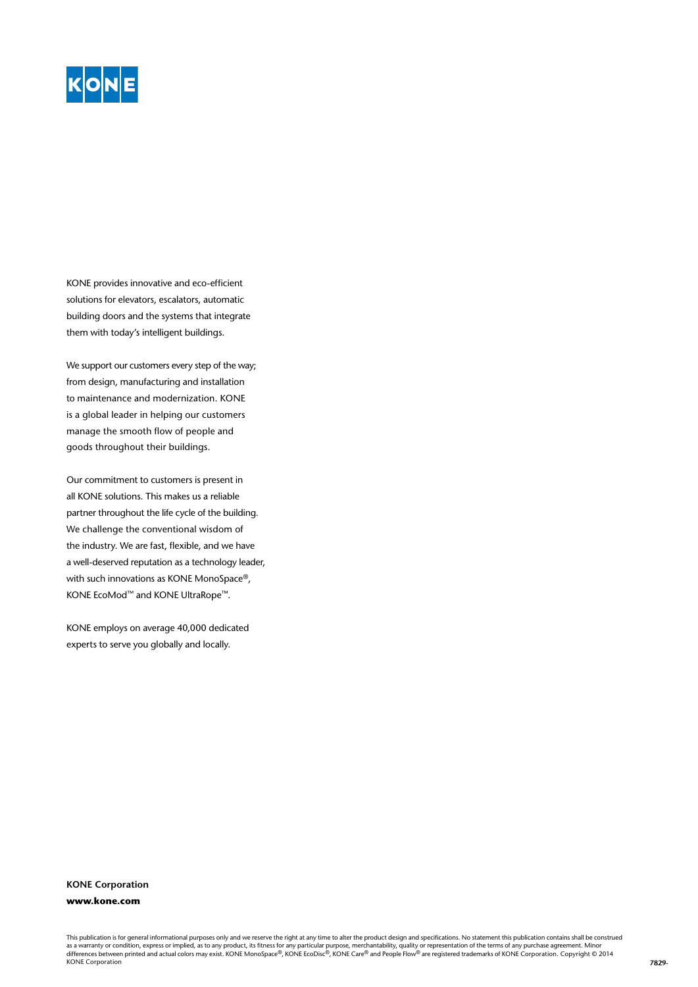

KONE provides innovative and eco-efficient solutions for elevators, escalators, automatic building doors and the systems that integrate them with today's intelligent buildings.

We support our customers every step of the way; from design, manufacturing and installation to maintenance and modernization. KONE is a global leader in helping our customers manage the smooth flow of people and goods throughout their buildings.

Our commitment to customers is present in all KONE solutions. This makes us a reliable partner throughout the life cycle of the building. We challenge the conventional wisdom of the industry. We are fast, flexible, and we have a well-deserved reputation as a technology leader, with such innovations as KONE MonoSpace®, KONE EcoMod™ and KONE UltraRope™.

KONE employs on average 40,000 dedicated experts to serve you globally and locally.

### **KONE Corporation www.kone.com**

This publication is for general informational purposes only and we reserve the right at any time to alter the product design and specifications. No statement this publication contains shall be construed as a warranty or condition, express or implied, as to any product, its fitness for any particular purpose, merchantability, quality or representation of the terms of any purchase agreement. Minor<br>differences between printe